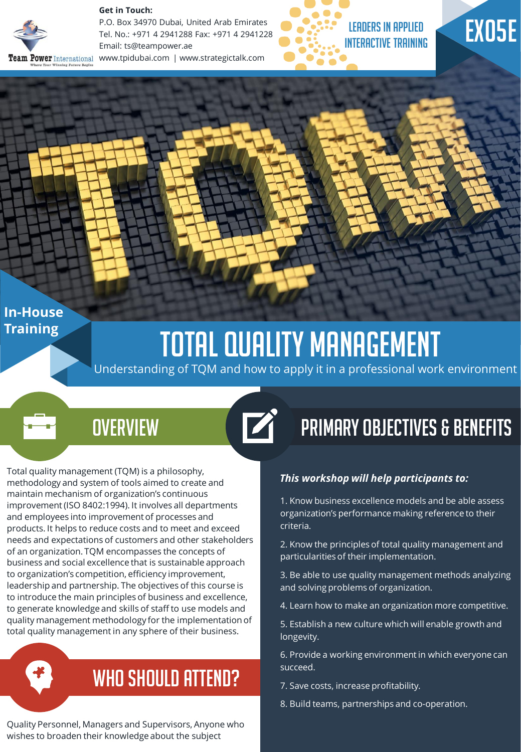

**Get in Touch:** 

P.O. Box 34970 Dubai, United Arab Emirates Tel. No.: +971 4 2941288 Fax: +971 4 2941228 Email: ts@teampower.ae **Peam Power** International www.tpidubai.com | www.strategictalk.com



# EX05E

### **In-House Training**

# **TOTAL QUALITY MANAGEMENT**

 $\overrightarrow{a}$ 

Understanding of TQM and how to apply it in a professional work environment

### **OVERVIEW**

Total quality management (TQM) is a philosophy, methodology and system of tools aimed to create and maintain mechanism of organization's continuous improvement (ISO 8402:1994). It involves all departments and employees into improvement of processes and products. It helps to reduce costs and to meet and exceed needs and expectations of customers and other stakeholders of an organization. TQM encompasses the concepts of business and social excellence that is sustainable approach to organization's competition, efficiency improvement, leadership and partnership. The objectives of this course is to introduce the main principles of business and excellence, to generate knowledge and skills of staff to use models and quality management methodology for the implementation of total quality management in any sphere of their business.

WHO SHOULD ATTEND?

Quality Personnel, Managers and Supervisors, Anyone who wishes to broaden their knowledge about the subject

## Primary Objectives & Benefits

#### *This workshop will help participants to:*

1. Know business excellence models and be able assess organization's performance making reference to their criteria.

2. Know the principles of total quality management and particularities of their implementation.

3. Be able to use quality management methods analyzing and solving problems of organization.

4. Learn how to make an organization more competitive.

5. Establish a new culture which will enable growth and longevity.

6. Provide a working environment in which everyone can succeed.

7. Save costs, increase profitability.

8. Build teams, partnerships and co-operation.